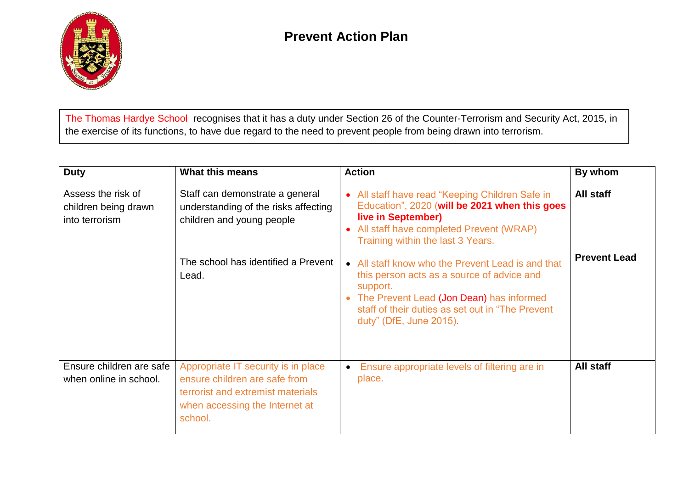

The Thomas Hardye Schoolrecognises that it has a duty under Section 26 of the Counter-Terrorism and Security Act, 2015, in the exercise of its functions, to have due regard to the need to prevent people from being drawn into terrorism.

| <b>Duty</b>                                                  | <b>What this means</b>                                                                                                                                 | <b>Action</b>                                                                                                                                                                                                                             | By whom             |
|--------------------------------------------------------------|--------------------------------------------------------------------------------------------------------------------------------------------------------|-------------------------------------------------------------------------------------------------------------------------------------------------------------------------------------------------------------------------------------------|---------------------|
| Assess the risk of<br>children being drawn<br>into terrorism | Staff can demonstrate a general<br>understanding of the risks affecting<br>children and young people                                                   | All staff have read "Keeping Children Safe in<br>Education", 2020 (will be 2021 when this goes<br>live in September)<br>All staff have completed Prevent (WRAP)<br>Training within the last 3 Years.                                      | All staff           |
|                                                              | The school has identified a Prevent<br>Lead.                                                                                                           | • All staff know who the Prevent Lead is and that<br>this person acts as a source of advice and<br>support.<br>• The Prevent Lead (Jon Dean) has informed<br>staff of their duties as set out in "The Prevent"<br>duty" (DfE, June 2015). | <b>Prevent Lead</b> |
| Ensure children are safe<br>when online in school.           | Appropriate IT security is in place<br>ensure children are safe from<br>terrorist and extremist materials<br>when accessing the Internet at<br>school. | Ensure appropriate levels of filtering are in<br>place.                                                                                                                                                                                   | All staff           |